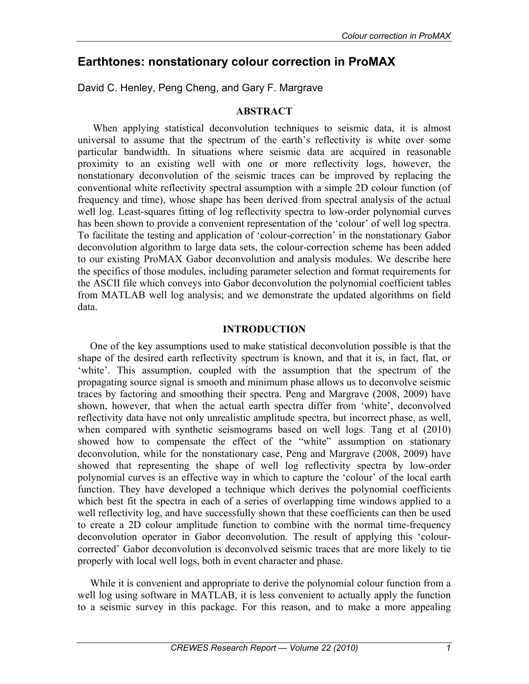# **Earthtones: nonstationary colour correction in ProMAX**

David C. Henley, Peng Cheng, and Gary F. Margrave

## **ABSTRACT**

 When applying statistical deconvolution techniques to seismic data, it is almost universal to assume that the spectrum of the earth's reflectivity is white over some particular bandwidth. In situations where seismic data are acquired in reasonable proximity to an existing well with one or more reflectivity logs, however, the nonstationary deconvolution of the seismic traces can be improved by replacing the conventional white reflectivity spectral assumption with a simple 2D colour function (of frequency and time), whose shape has been derived from spectral analysis of the actual well log. Least-squares fitting of log reflectivity spectra to low-order polynomial curves has been shown to provide a convenient representation of the 'colour' of well log spectra. To facilitate the testing and application of 'colour-correction' in the nonstationary Gabor deconvolution algorithm to large data sets, the colour-correction scheme has been added to our existing ProMAX Gabor deconvolution and analysis modules. We describe here the specifics of those modules, including parameter selection and format requirements for the ASCII file which conveys into Gabor deconvolution the polynomial coefficient tables from MATLAB well log analysis; and we demonstrate the updated algorithms on field data.

## **INTRODUCTION**

One of the key assumptions used to make statistical deconvolution possible is that the shape of the desired earth reflectivity spectrum is known, and that it is, in fact, flat, or 'white'. This assumption, coupled with the assumption that the spectrum of the propagating source signal is smooth and minimum phase allows us to deconvolve seismic traces by factoring and smoothing their spectra. Peng and Margrave (2008, 2009) have shown, however, that when the actual earth spectra differ from 'white', deconvolved reflectivity data have not only unrealistic amplitude spectra, but incorrect phase, as well, when compared with synthetic seismograms based on well logs. Tang et al (2010) showed how to compensate the effect of the "white" assumption on stationary deconvolution, while for the nonstationary case, Peng and Margrave (2008, 2009) have showed that representing the shape of well log reflectivity spectra by low-order polynomial curves is an effective way in which to capture the 'colour' of the local earth function. They have developed a technique which derives the polynomial coefficients which best fit the spectra in each of a series of overlapping time windows applied to a well reflectivity log, and have successfully shown that these coefficients can then be used to create a 2D colour amplitude function to combine with the normal time-frequency deconvolution operator in Gabor deconvolution. The result of applying this 'colourcorrected' Gabor deconvolution is deconvolved seismic traces that are more likely to tie properly with local well logs, both in event character and phase.

While it is convenient and appropriate to derive the polynomial colour function from a well log using software in MATLAB, it is less convenient to actually apply the function to a seismic survey in this package. For this reason, and to make a more appealing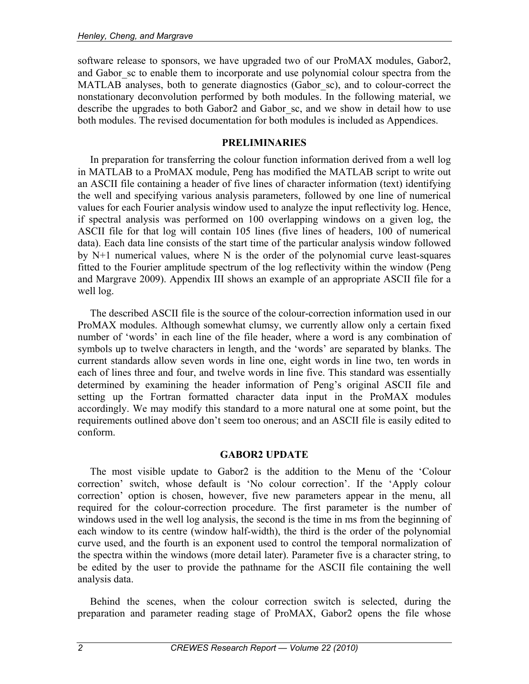software release to sponsors, we have upgraded two of our ProMAX modules, Gabor2, and Gabor sc to enable them to incorporate and use polynomial colour spectra from the MATLAB analyses, both to generate diagnostics (Gabor sc), and to colour-correct the nonstationary deconvolution performed by both modules. In the following material, we describe the upgrades to both Gabor2 and Gabor sc, and we show in detail how to use both modules. The revised documentation for both modules is included as Appendices.

## **PRELIMINARIES**

In preparation for transferring the colour function information derived from a well log in MATLAB to a ProMAX module, Peng has modified the MATLAB script to write out an ASCII file containing a header of five lines of character information (text) identifying the well and specifying various analysis parameters, followed by one line of numerical values for each Fourier analysis window used to analyze the input reflectivity log. Hence, if spectral analysis was performed on 100 overlapping windows on a given log, the ASCII file for that log will contain 105 lines (five lines of headers, 100 of numerical data). Each data line consists of the start time of the particular analysis window followed by N+1 numerical values, where N is the order of the polynomial curve least-squares fitted to the Fourier amplitude spectrum of the log reflectivity within the window (Peng and Margrave 2009). Appendix III shows an example of an appropriate ASCII file for a well log.

The described ASCII file is the source of the colour-correction information used in our ProMAX modules. Although somewhat clumsy, we currently allow only a certain fixed number of 'words' in each line of the file header, where a word is any combination of symbols up to twelve characters in length, and the 'words' are separated by blanks. The current standards allow seven words in line one, eight words in line two, ten words in each of lines three and four, and twelve words in line five. This standard was essentially determined by examining the header information of Peng's original ASCII file and setting up the Fortran formatted character data input in the ProMAX modules accordingly. We may modify this standard to a more natural one at some point, but the requirements outlined above don't seem too onerous; and an ASCII file is easily edited to conform.

## **GABOR2 UPDATE**

The most visible update to Gabor2 is the addition to the Menu of the 'Colour correction' switch, whose default is 'No colour correction'. If the 'Apply colour correction' option is chosen, however, five new parameters appear in the menu, all required for the colour-correction procedure. The first parameter is the number of windows used in the well log analysis, the second is the time in ms from the beginning of each window to its centre (window half-width), the third is the order of the polynomial curve used, and the fourth is an exponent used to control the temporal normalization of the spectra within the windows (more detail later). Parameter five is a character string, to be edited by the user to provide the pathname for the ASCII file containing the well analysis data.

Behind the scenes, when the colour correction switch is selected, during the preparation and parameter reading stage of ProMAX, Gabor2 opens the file whose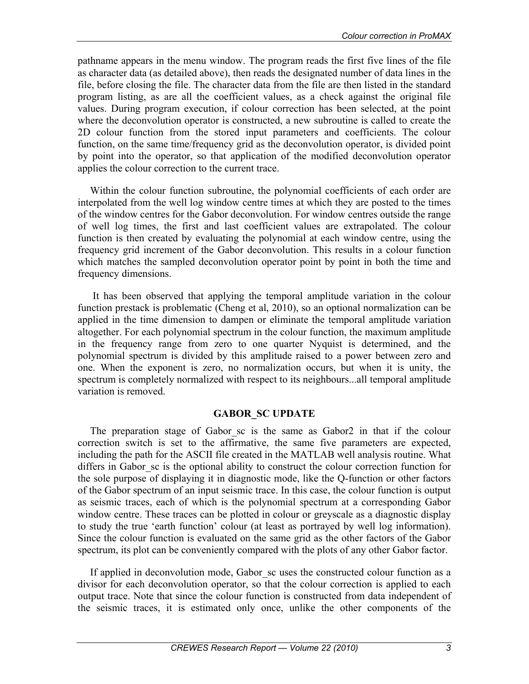pathname appears in the menu window. The program reads the first five lines of the file as character data (as detailed above), then reads the designated number of data lines in the file, before closing the file. The character data from the file are then listed in the standard program listing, as are all the coefficient values, as a check against the original file values. During program execution, if colour correction has been selected, at the point where the deconvolution operator is constructed, a new subroutine is called to create the 2D colour function from the stored input parameters and coefficients. The colour function, on the same time/frequency grid as the deconvolution operator, is divided point by point into the operator, so that application of the modified deconvolution operator applies the colour correction to the current trace.

Within the colour function subroutine, the polynomial coefficients of each order are interpolated from the well log window centre times at which they are posted to the times of the window centres for the Gabor deconvolution. For window centres outside the range of well log times, the first and last coefficient values are extrapolated. The colour function is then created by evaluating the polynomial at each window centre, using the frequency grid increment of the Gabor deconvolution. This results in a colour function which matches the sampled deconvolution operator point by point in both the time and frequency dimensions.

 It has been observed that applying the temporal amplitude variation in the colour function prestack is problematic (Cheng et al, 2010), so an optional normalization can be applied in the time dimension to dampen or eliminate the temporal amplitude variation altogether. For each polynomial spectrum in the colour function, the maximum amplitude in the frequency range from zero to one quarter Nyquist is determined, and the polynomial spectrum is divided by this amplitude raised to a power between zero and one. When the exponent is zero, no normalization occurs, but when it is unity, the spectrum is completely normalized with respect to its neighbours...all temporal amplitude variation is removed.

## **GABOR\_SC UPDATE**

The preparation stage of Gabor sc is the same as Gabor2 in that if the colour correction switch is set to the affirmative, the same five parameters are expected, including the path for the ASCII file created in the MATLAB well analysis routine. What differs in Gabor sc is the optional ability to construct the colour correction function for the sole purpose of displaying it in diagnostic mode, like the Q-function or other factors of the Gabor spectrum of an input seismic trace. In this case, the colour function is output as seismic traces, each of which is the polynomial spectrum at a corresponding Gabor window centre. These traces can be plotted in colour or greyscale as a diagnostic display to study the true 'earth function' colour (at least as portrayed by well log information). Since the colour function is evaluated on the same grid as the other factors of the Gabor spectrum, its plot can be conveniently compared with the plots of any other Gabor factor.

If applied in deconvolution mode, Gabor sc uses the constructed colour function as a divisor for each deconvolution operator, so that the colour correction is applied to each output trace. Note that since the colour function is constructed from data independent of the seismic traces, it is estimated only once, unlike the other components of the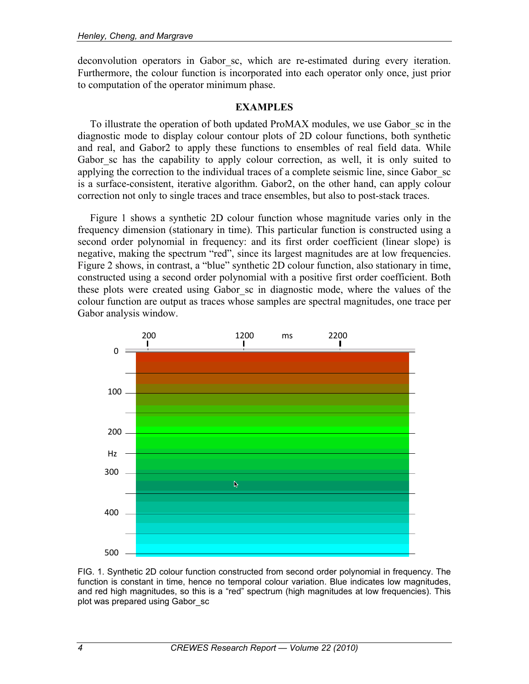deconvolution operators in Gabor sc, which are re-estimated during every iteration. Furthermore, the colour function is incorporated into each operator only once, just prior to computation of the operator minimum phase.

## **EXAMPLES**

To illustrate the operation of both updated ProMAX modules, we use Gabor\_sc in the diagnostic mode to display colour contour plots of 2D colour functions, both synthetic and real, and Gabor2 to apply these functions to ensembles of real field data. While Gabor sc has the capability to apply colour correction, as well, it is only suited to applying the correction to the individual traces of a complete seismic line, since Gabor\_sc is a surface-consistent, iterative algorithm. Gabor2, on the other hand, can apply colour correction not only to single traces and trace ensembles, but also to post-stack traces.

Figure 1 shows a synthetic 2D colour function whose magnitude varies only in the frequency dimension (stationary in time). This particular function is constructed using a second order polynomial in frequency: and its first order coefficient (linear slope) is negative, making the spectrum "red", since its largest magnitudes are at low frequencies. Figure 2 shows, in contrast, a "blue" synthetic 2D colour function, also stationary in time, constructed using a second order polynomial with a positive first order coefficient. Both these plots were created using Gabor\_sc in diagnostic mode, where the values of the colour function are output as traces whose samples are spectral magnitudes, one trace per Gabor analysis window.



FIG. 1. Synthetic 2D colour function constructed from second order polynomial in frequency. The function is constant in time, hence no temporal colour variation. Blue indicates low magnitudes, and red high magnitudes, so this is a "red" spectrum (high magnitudes at low frequencies). This plot was prepared using Gabor\_sc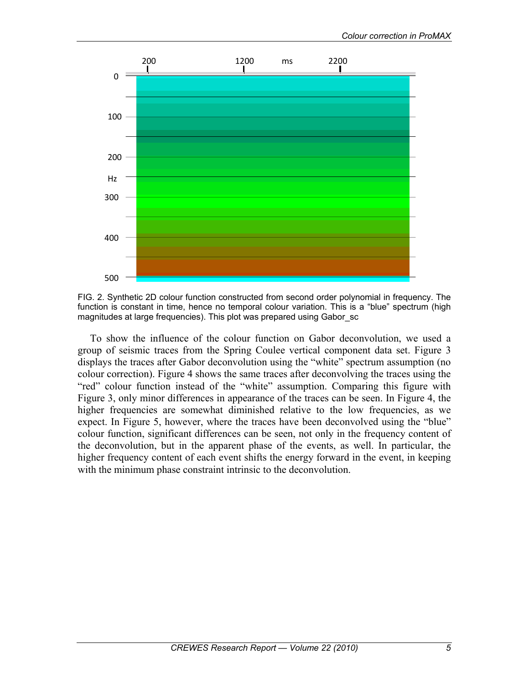



To show the influence of the colour function on Gabor deconvolution, we used a group of seismic traces from the Spring Coulee vertical component data set. Figure 3 displays the traces after Gabor deconvolution using the "white" spectrum assumption (no colour correction). Figure 4 shows the same traces after deconvolving the traces using the "red" colour function instead of the "white" assumption. Comparing this figure with Figure 3, only minor differences in appearance of the traces can be seen. In Figure 4, the higher frequencies are somewhat diminished relative to the low frequencies, as we expect. In Figure 5, however, where the traces have been deconvolved using the "blue" colour function, significant differences can be seen, not only in the frequency content of the deconvolution, but in the apparent phase of the events, as well. In particular, the higher frequency content of each event shifts the energy forward in the event, in keeping with the minimum phase constraint intrinsic to the deconvolution.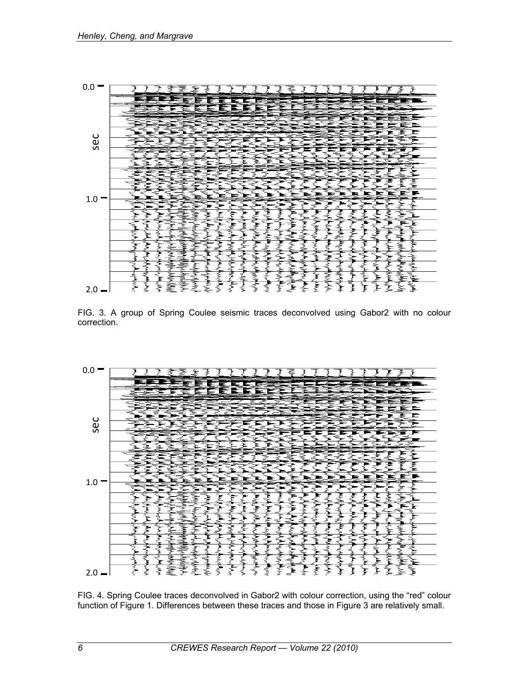

FIG. 3. A group of Spring Coulee seismic traces deconvolved using Gabor2 with no colour correction.



FIG. 4. Spring Coulee traces deconvolved in Gabor2 with colour correction, using the "red" colour function of Figure 1. Differences between these traces and those in Figure 3 are relatively small.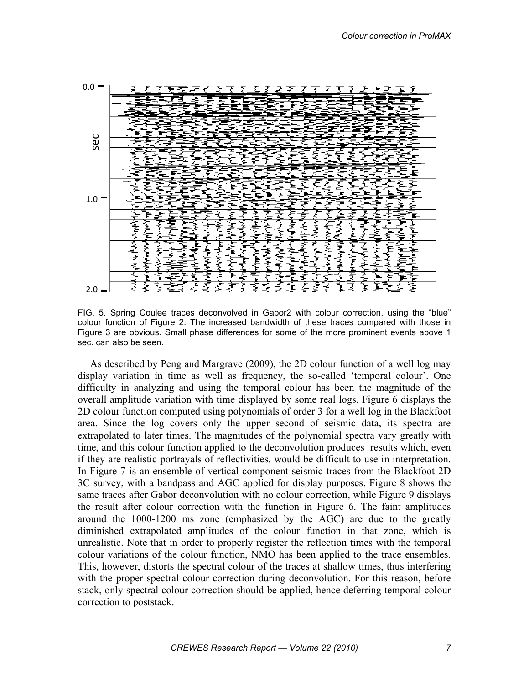

FIG. 5. Spring Coulee traces deconvolved in Gabor2 with colour correction, using the "blue" colour function of Figure 2. The increased bandwidth of these traces compared with those in Figure 3 are obvious. Small phase differences for some of the more prominent events above 1 sec. can also be seen.

As described by Peng and Margrave (2009), the 2D colour function of a well log may display variation in time as well as frequency, the so-called 'temporal colour'. One difficulty in analyzing and using the temporal colour has been the magnitude of the overall amplitude variation with time displayed by some real logs. Figure 6 displays the 2D colour function computed using polynomials of order 3 for a well log in the Blackfoot area. Since the log covers only the upper second of seismic data, its spectra are extrapolated to later times. The magnitudes of the polynomial spectra vary greatly with time, and this colour function applied to the deconvolution produces results which, even if they are realistic portrayals of reflectivities, would be difficult to use in interpretation. In Figure 7 is an ensemble of vertical component seismic traces from the Blackfoot 2D 3C survey, with a bandpass and AGC applied for display purposes. Figure 8 shows the same traces after Gabor deconvolution with no colour correction, while Figure 9 displays the result after colour correction with the function in Figure 6. The faint amplitudes around the 1000-1200 ms zone (emphasized by the AGC) are due to the greatly diminished extrapolated amplitudes of the colour function in that zone, which is unrealistic. Note that in order to properly register the reflection times with the temporal colour variations of the colour function, NMO has been applied to the trace ensembles. This, however, distorts the spectral colour of the traces at shallow times, thus interfering with the proper spectral colour correction during deconvolution. For this reason, before stack, only spectral colour correction should be applied, hence deferring temporal colour correction to poststack.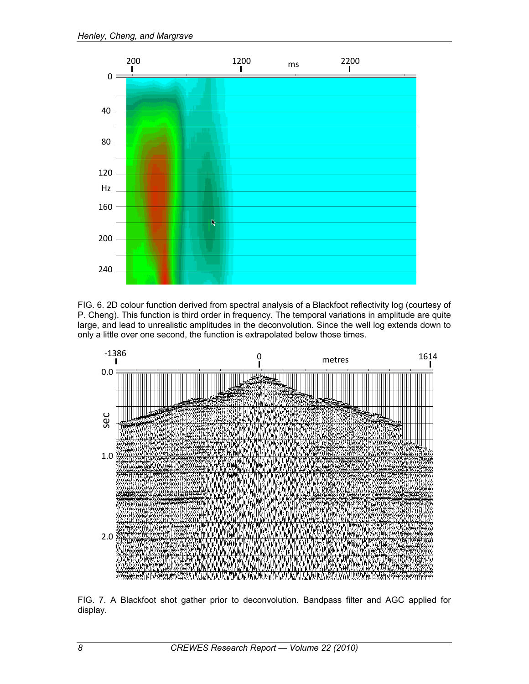

FIG. 6. 2D colour function derived from spectral analysis of a Blackfoot reflectivity log (courtesy of P. Cheng). This function is third order in frequency. The temporal variations in amplitude are quite large, and lead to unrealistic amplitudes in the deconvolution. Since the well log extends down to only a little over one second, the function is extrapolated below those times.



FIG. 7. A Blackfoot shot gather prior to deconvolution. Bandpass filter and AGC applied for display.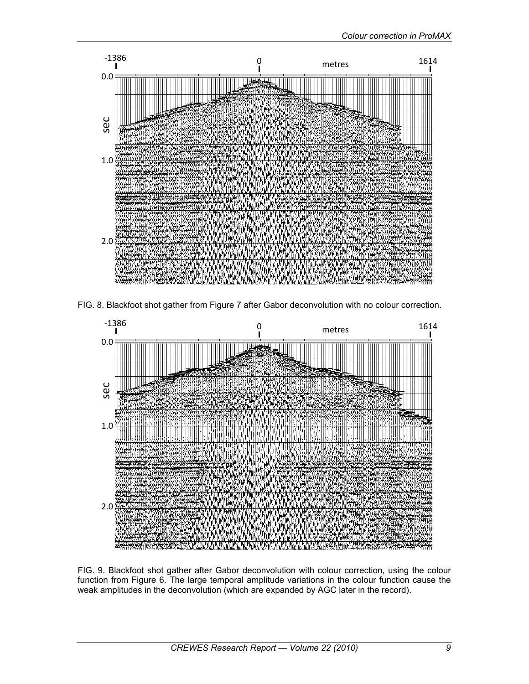

FIG. 8. Blackfoot shot gather from Figure 7 after Gabor deconvolution with no colour correction.



FIG. 9. Blackfoot shot gather after Gabor deconvolution with colour correction, using the colour function from Figure 6. The large temporal amplitude variations in the colour function cause the weak amplitudes in the deconvolution (which are expanded by AGC later in the record).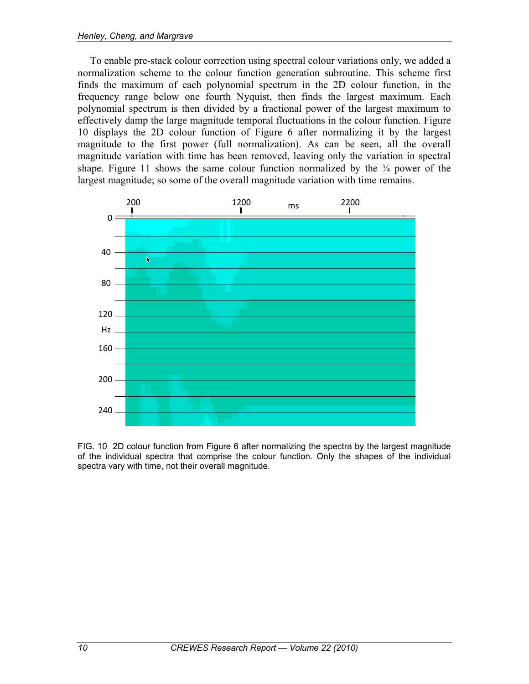To enable pre-stack colour correction using spectral colour variations only, we added a normalization scheme to the colour function generation subroutine. This scheme first finds the maximum of each polynomial spectrum in the 2D colour function, in the frequency range below one fourth Nyquist, then finds the largest maximum. Each polynomial spectrum is then divided by a fractional power of the largest maximum to effectively damp the large magnitude temporal fluctuations in the colour function. Figure 10 displays the 2D colour function of Figure 6 after normalizing it by the largest magnitude to the first power (full normalization). As can be seen, all the overall magnitude variation with time has been removed, leaving only the variation in spectral shape. Figure 11 shows the same colour function normalized by the  $\frac{3}{4}$  power of the largest magnitude; so some of the overall magnitude variation with time remains.



FIG. 10 2D colour function from Figure 6 after normalizing the spectra by the largest magnitude of the individual spectra that comprise the colour function. Only the shapes of the individual spectra vary with time, not their overall magnitude.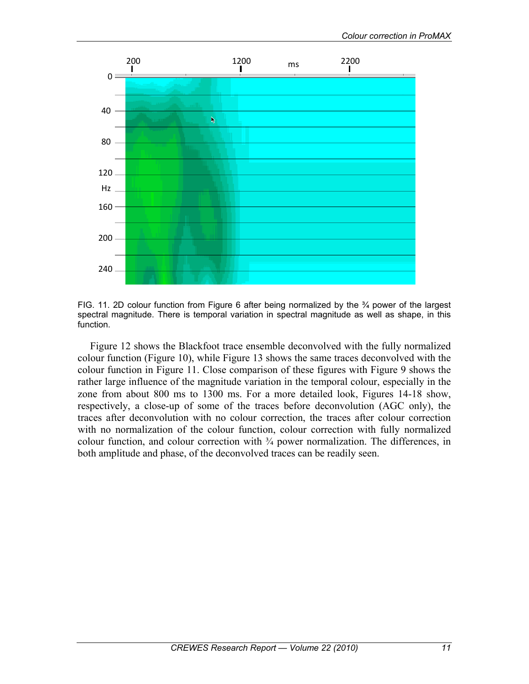



Figure 12 shows the Blackfoot trace ensemble deconvolved with the fully normalized colour function (Figure 10), while Figure 13 shows the same traces deconvolved with the colour function in Figure 11. Close comparison of these figures with Figure 9 shows the rather large influence of the magnitude variation in the temporal colour, especially in the zone from about 800 ms to 1300 ms. For a more detailed look, Figures 14-18 show, respectively, a close-up of some of the traces before deconvolution (AGC only), the traces after deconvolution with no colour correction, the traces after colour correction with no normalization of the colour function, colour correction with fully normalized colour function, and colour correction with ¾ power normalization. The differences, in both amplitude and phase, of the deconvolved traces can be readily seen.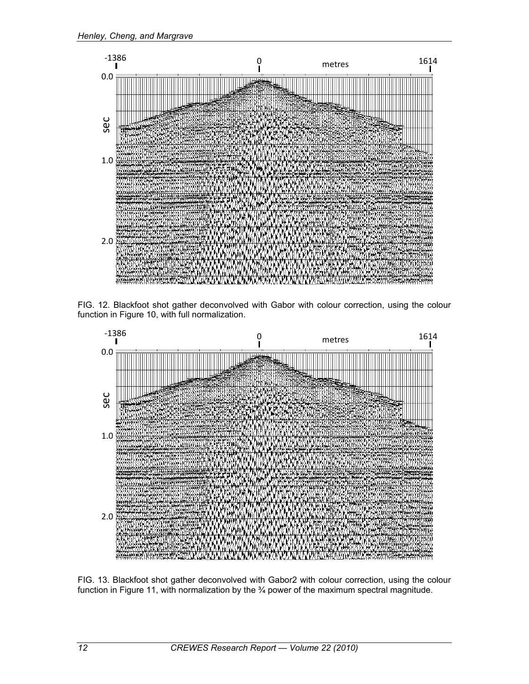

FIG. 12. Blackfoot shot gather deconvolved with Gabor with colour correction, using the colour function in Figure 10, with full normalization.



FIG. 13. Blackfoot shot gather deconvolved with Gabor2 with colour correction, using the colour function in Figure 11, with normalization by the <sup>3</sup>/4 power of the maximum spectral magnitude.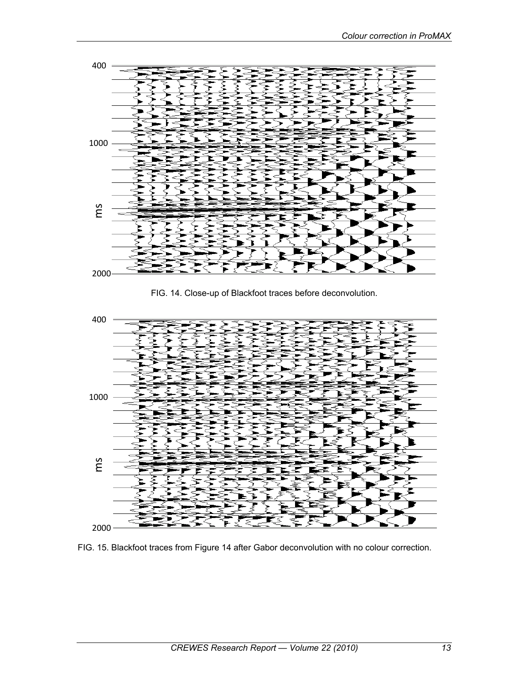

FIG. 14. Close-up of Blackfoot traces before deconvolution.



FIG. 15. Blackfoot traces from Figure 14 after Gabor deconvolution with no colour correction.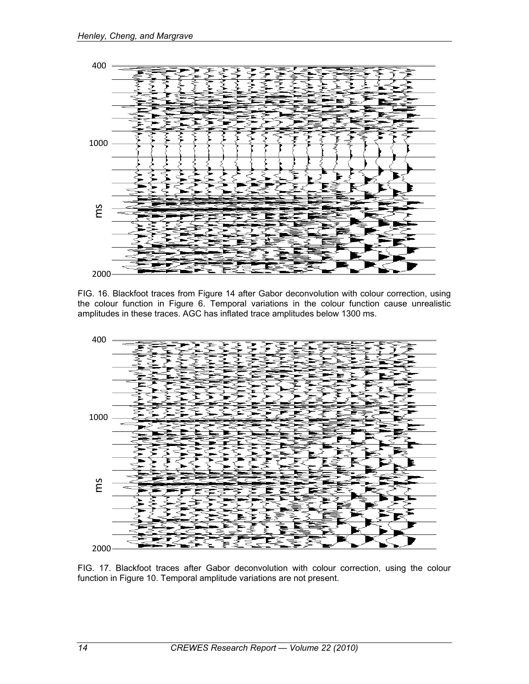

FIG. 16. Blackfoot traces from Figure 14 after Gabor deconvolution with colour correction, using the colour function in Figure 6. Temporal variations in the colour function cause unrealistic amplitudes in these traces. AGC has inflated trace amplitudes below 1300 ms.



FIG. 17. Blackfoot traces after Gabor deconvolution with colour correction, using the colour function in Figure 10. Temporal amplitude variations are not present.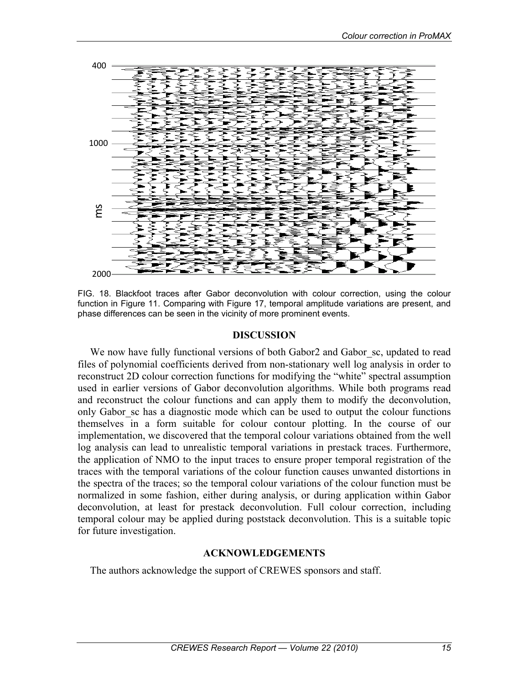

FIG. 18. Blackfoot traces after Gabor deconvolution with colour correction, using the colour function in Figure 11. Comparing with Figure 17, temporal amplitude variations are present, and phase differences can be seen in the vicinity of more prominent events.

#### **DISCUSSION**

We now have fully functional versions of both Gabor2 and Gabor sc, updated to read files of polynomial coefficients derived from non-stationary well log analysis in order to reconstruct 2D colour correction functions for modifying the "white" spectral assumption used in earlier versions of Gabor deconvolution algorithms. While both programs read and reconstruct the colour functions and can apply them to modify the deconvolution, only Gabor\_sc has a diagnostic mode which can be used to output the colour functions themselves in a form suitable for colour contour plotting. In the course of our implementation, we discovered that the temporal colour variations obtained from the well log analysis can lead to unrealistic temporal variations in prestack traces. Furthermore, the application of NMO to the input traces to ensure proper temporal registration of the traces with the temporal variations of the colour function causes unwanted distortions in the spectra of the traces; so the temporal colour variations of the colour function must be normalized in some fashion, either during analysis, or during application within Gabor deconvolution, at least for prestack deconvolution. Full colour correction, including temporal colour may be applied during poststack deconvolution. This is a suitable topic for future investigation.

## **ACKNOWLEDGEMENTS**

The authors acknowledge the support of CREWES sponsors and staff.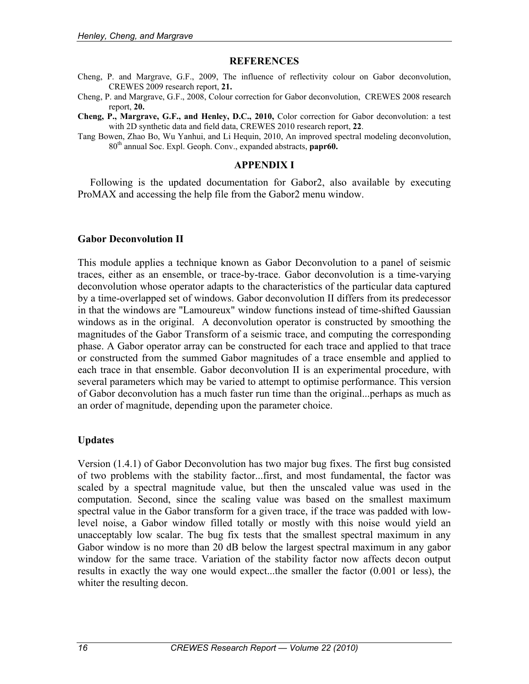#### **REFERENCES**

- Cheng, P. and Margrave, G.F., 2009, The influence of reflectivity colour on Gabor deconvolution, CREWES 2009 research report, **21.**
- Cheng, P. and Margrave, G.F., 2008, Colour correction for Gabor deconvolution, CREWES 2008 research report, **20.**
- **Cheng, P., Margrave, G.F., and Henley, D.C., 2010,** Color correction for Gabor deconvolution: a test with 2D synthetic data and field data, CREWES 2010 research report, **22**.
- Tang Bowen, Zhao Bo, Wu Yanhui, and Li Hequin, 2010, An improved spectral modeling deconvolution, 80th annual Soc. Expl. Geoph. Conv., expanded abstracts, **papr60.**

#### **APPENDIX I**

Following is the updated documentation for Gabor2, also available by executing ProMAX and accessing the help file from the Gabor2 menu window.

#### **Gabor Deconvolution II**

This module applies a technique known as Gabor Deconvolution to a panel of seismic traces, either as an ensemble, or trace-by-trace. Gabor deconvolution is a time-varying deconvolution whose operator adapts to the characteristics of the particular data captured by a time-overlapped set of windows. Gabor deconvolution II differs from its predecessor in that the windows are "Lamoureux" window functions instead of time-shifted Gaussian windows as in the original. A deconvolution operator is constructed by smoothing the magnitudes of the Gabor Transform of a seismic trace, and computing the corresponding phase. A Gabor operator array can be constructed for each trace and applied to that trace or constructed from the summed Gabor magnitudes of a trace ensemble and applied to each trace in that ensemble. Gabor deconvolution II is an experimental procedure, with several parameters which may be varied to attempt to optimise performance. This version of Gabor deconvolution has a much faster run time than the original...perhaps as much as an order of magnitude, depending upon the parameter choice.

#### **Updates**

Version (1.4.1) of Gabor Deconvolution has two major bug fixes. The first bug consisted of two problems with the stability factor...first, and most fundamental, the factor was scaled by a spectral magnitude value, but then the unscaled value was used in the computation. Second, since the scaling value was based on the smallest maximum spectral value in the Gabor transform for a given trace, if the trace was padded with lowlevel noise, a Gabor window filled totally or mostly with this noise would yield an unacceptably low scalar. The bug fix tests that the smallest spectral maximum in any Gabor window is no more than 20 dB below the largest spectral maximum in any gabor window for the same trace. Variation of the stability factor now affects decon output results in exactly the way one would expect...the smaller the factor (0.001 or less), the whiter the resulting decon.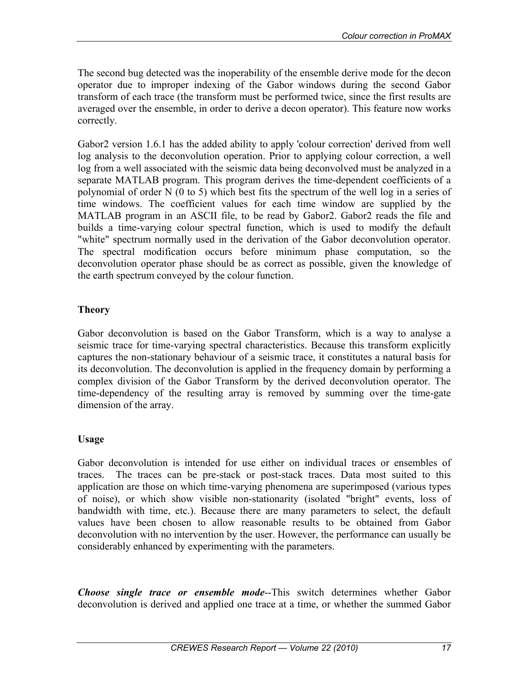The second bug detected was the inoperability of the ensemble derive mode for the decon operator due to improper indexing of the Gabor windows during the second Gabor transform of each trace (the transform must be performed twice, since the first results are averaged over the ensemble, in order to derive a decon operator). This feature now works correctly.

Gabor2 version 1.6.1 has the added ability to apply 'colour correction' derived from well log analysis to the deconvolution operation. Prior to applying colour correction, a well log from a well associated with the seismic data being deconvolved must be analyzed in a separate MATLAB program. This program derives the time-dependent coefficients of a polynomial of order N (0 to 5) which best fits the spectrum of the well log in a series of time windows. The coefficient values for each time window are supplied by the MATLAB program in an ASCII file, to be read by Gabor2. Gabor2 reads the file and builds a time-varying colour spectral function, which is used to modify the default "white" spectrum normally used in the derivation of the Gabor deconvolution operator. The spectral modification occurs before minimum phase computation, so the deconvolution operator phase should be as correct as possible, given the knowledge of the earth spectrum conveyed by the colour function.

## **Theory**

Gabor deconvolution is based on the Gabor Transform, which is a way to analyse a seismic trace for time-varying spectral characteristics. Because this transform explicitly captures the non-stationary behaviour of a seismic trace, it constitutes a natural basis for its deconvolution. The deconvolution is applied in the frequency domain by performing a complex division of the Gabor Transform by the derived deconvolution operator. The time-dependency of the resulting array is removed by summing over the time-gate dimension of the array.

## **Usage**

Gabor deconvolution is intended for use either on individual traces or ensembles of traces. The traces can be pre-stack or post-stack traces. Data most suited to this application are those on which time-varying phenomena are superimposed (various types of noise), or which show visible non-stationarity (isolated "bright" events, loss of bandwidth with time, etc.). Because there are many parameters to select, the default values have been chosen to allow reasonable results to be obtained from Gabor deconvolution with no intervention by the user. However, the performance can usually be considerably enhanced by experimenting with the parameters.

*Choose single trace or ensemble mode*--This switch determines whether Gabor deconvolution is derived and applied one trace at a time, or whether the summed Gabor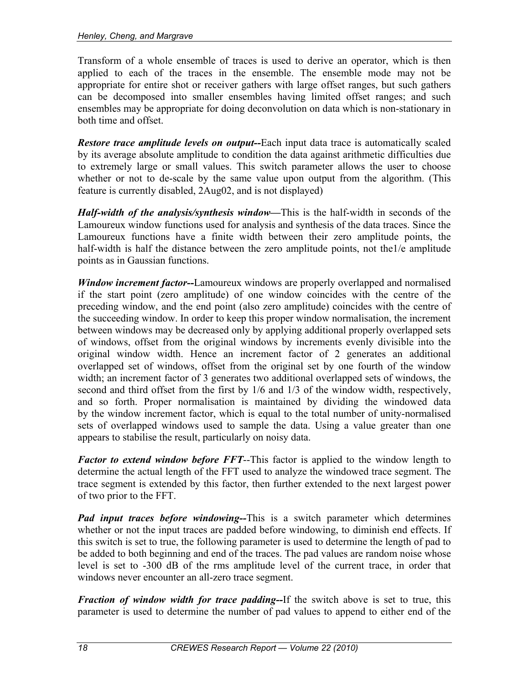Transform of a whole ensemble of traces is used to derive an operator, which is then applied to each of the traces in the ensemble. The ensemble mode may not be appropriate for entire shot or receiver gathers with large offset ranges, but such gathers can be decomposed into smaller ensembles having limited offset ranges; and such ensembles may be appropriate for doing deconvolution on data which is non-stationary in both time and offset.

*Restore trace amplitude levels on output--*Each input data trace is automatically scaled by its average absolute amplitude to condition the data against arithmetic difficulties due to extremely large or small values. This switch parameter allows the user to choose whether or not to de-scale by the same value upon output from the algorithm. (This feature is currently disabled, 2Aug02, and is not displayed)

*Half-width of the analysis/synthesis window—*This is the half-width in seconds of the Lamoureux window functions used for analysis and synthesis of the data traces. Since the Lamoureux functions have a finite width between their zero amplitude points, the half-width is half the distance between the zero amplitude points, not the 1/e amplitude points as in Gaussian functions.

*Window increment factor--*Lamoureux windows are properly overlapped and normalised if the start point (zero amplitude) of one window coincides with the centre of the preceding window, and the end point (also zero amplitude) coincides with the centre of the succeeding window. In order to keep this proper window normalisation, the increment between windows may be decreased only by applying additional properly overlapped sets of windows, offset from the original windows by increments evenly divisible into the original window width. Hence an increment factor of 2 generates an additional overlapped set of windows, offset from the original set by one fourth of the window width; an increment factor of 3 generates two additional overlapped sets of windows, the second and third offset from the first by 1/6 and 1/3 of the window width, respectively, and so forth. Proper normalisation is maintained by dividing the windowed data by the window increment factor, which is equal to the total number of unity-normalised sets of overlapped windows used to sample the data. Using a value greater than one appears to stabilise the result, particularly on noisy data.

*Factor to extend window before FFT*--This factor is applied to the window length to determine the actual length of the FFT used to analyze the windowed trace segment. The trace segment is extended by this factor, then further extended to the next largest power of two prior to the FFT.

*Pad input traces before windowing--*This is a switch parameter which determines whether or not the input traces are padded before windowing, to diminish end effects. If this switch is set to true, the following parameter is used to determine the length of pad to be added to both beginning and end of the traces. The pad values are random noise whose level is set to -300 dB of the rms amplitude level of the current trace, in order that windows never encounter an all-zero trace segment.

*Fraction of window width for trace padding--*If the switch above is set to true, this parameter is used to determine the number of pad values to append to either end of the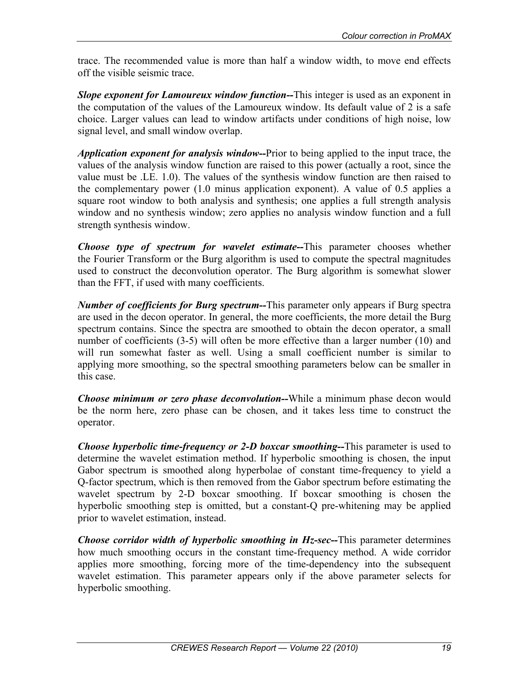trace. The recommended value is more than half a window width, to move end effects off the visible seismic trace.

*Slope exponent for Lamoureux window function--*This integer is used as an exponent in the computation of the values of the Lamoureux window. Its default value of 2 is a safe choice. Larger values can lead to window artifacts under conditions of high noise, low signal level, and small window overlap.

*Application exponent for analysis window--*Prior to being applied to the input trace, the values of the analysis window function are raised to this power (actually a root, since the value must be .LE. 1.0). The values of the synthesis window function are then raised to the complementary power (1.0 minus application exponent). A value of 0.5 applies a square root window to both analysis and synthesis; one applies a full strength analysis window and no synthesis window; zero applies no analysis window function and a full strength synthesis window.

*Choose type of spectrum for wavelet estimate--*This parameter chooses whether the Fourier Transform or the Burg algorithm is used to compute the spectral magnitudes used to construct the deconvolution operator. The Burg algorithm is somewhat slower than the FFT, if used with many coefficients.

*Number of coefficients for Burg spectrum--*This parameter only appears if Burg spectra are used in the decon operator. In general, the more coefficients, the more detail the Burg spectrum contains. Since the spectra are smoothed to obtain the decon operator, a small number of coefficients (3-5) will often be more effective than a larger number (10) and will run somewhat faster as well. Using a small coefficient number is similar to applying more smoothing, so the spectral smoothing parameters below can be smaller in this case.

*Choose minimum or zero phase deconvolution--*While a minimum phase decon would be the norm here, zero phase can be chosen, and it takes less time to construct the operator.

*Choose hyperbolic time-frequency or 2-D boxcar smoothing--*This parameter is used to determine the wavelet estimation method. If hyperbolic smoothing is chosen, the input Gabor spectrum is smoothed along hyperbolae of constant time-frequency to yield a Q-factor spectrum, which is then removed from the Gabor spectrum before estimating the wavelet spectrum by 2-D boxcar smoothing. If boxcar smoothing is chosen the hyperbolic smoothing step is omitted, but a constant-Q pre-whitening may be applied prior to wavelet estimation, instead.

*Choose corridor width of hyperbolic smoothing in Hz-sec--*This parameter determines how much smoothing occurs in the constant time-frequency method. A wide corridor applies more smoothing, forcing more of the time-dependency into the subsequent wavelet estimation. This parameter appears only if the above parameter selects for hyperbolic smoothing.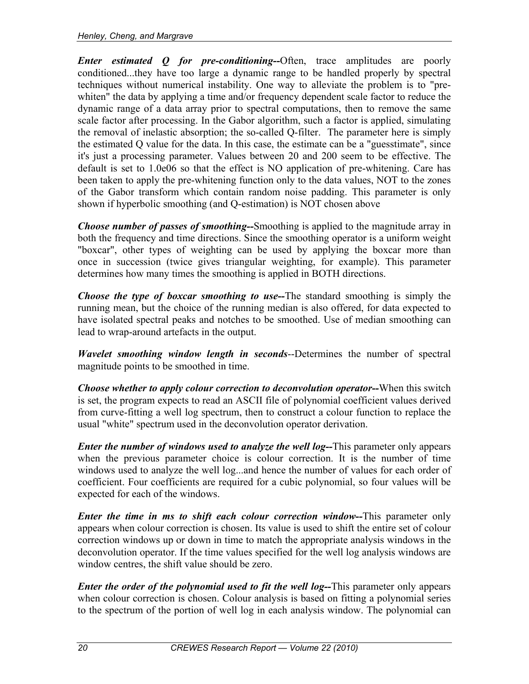*Enter estimated Q for pre-conditioning--*Often, trace amplitudes are poorly conditioned...they have too large a dynamic range to be handled properly by spectral techniques without numerical instability. One way to alleviate the problem is to "prewhiten" the data by applying a time and/or frequency dependent scale factor to reduce the dynamic range of a data array prior to spectral computations, then to remove the same scale factor after processing. In the Gabor algorithm, such a factor is applied, simulating the removal of inelastic absorption; the so-called Q-filter. The parameter here is simply the estimated Q value for the data. In this case, the estimate can be a "guesstimate", since it's just a processing parameter. Values between 20 and 200 seem to be effective. The default is set to 1.0e06 so that the effect is NO application of pre-whitening. Care has been taken to apply the pre-whitening function only to the data values, NOT to the zones of the Gabor transform which contain random noise padding. This parameter is only shown if hyperbolic smoothing (and Q-estimation) is NOT chosen above

*Choose number of passes of smoothing--*Smoothing is applied to the magnitude array in both the frequency and time directions. Since the smoothing operator is a uniform weight "boxcar", other types of weighting can be used by applying the boxcar more than once in succession (twice gives triangular weighting, for example). This parameter determines how many times the smoothing is applied in BOTH directions.

*Choose the type of boxcar smoothing to use--*The standard smoothing is simply the running mean, but the choice of the running median is also offered, for data expected to have isolated spectral peaks and notches to be smoothed. Use of median smoothing can lead to wrap-around artefacts in the output.

*Wavelet smoothing window length in seconds*--Determines the number of spectral magnitude points to be smoothed in time.

*Choose whether to apply colour correction to deconvolution operator--*When this switch is set, the program expects to read an ASCII file of polynomial coefficient values derived from curve-fitting a well log spectrum, then to construct a colour function to replace the usual "white" spectrum used in the deconvolution operator derivation.

*Enter the number of windows used to analyze the well log--*This parameter only appears when the previous parameter choice is colour correction. It is the number of time windows used to analyze the well log...and hence the number of values for each order of coefficient. Four coefficients are required for a cubic polynomial, so four values will be expected for each of the windows.

*Enter the time in ms to shift each colour correction window--*This parameter only appears when colour correction is chosen. Its value is used to shift the entire set of colour correction windows up or down in time to match the appropriate analysis windows in the deconvolution operator. If the time values specified for the well log analysis windows are window centres, the shift value should be zero.

*Enter the order of the polynomial used to fit the well log--This parameter only appears* when colour correction is chosen. Colour analysis is based on fitting a polynomial series to the spectrum of the portion of well log in each analysis window. The polynomial can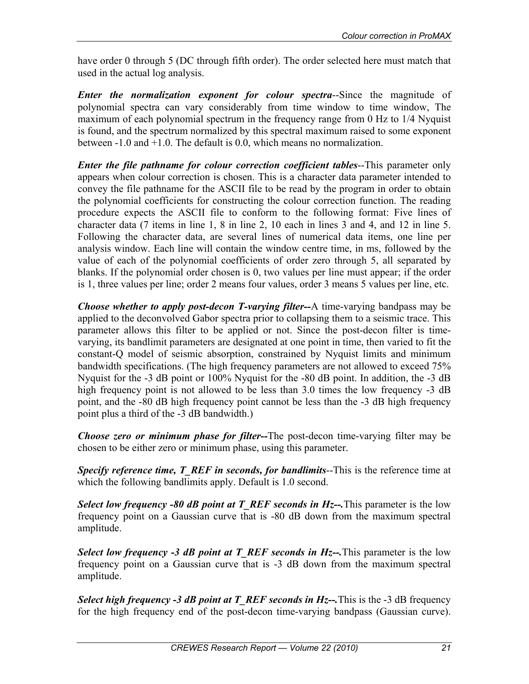have order 0 through 5 (DC through fifth order). The order selected here must match that used in the actual log analysis.

*Enter the normalization exponent for colour spectra*--Since the magnitude of polynomial spectra can vary considerably from time window to time window, The maximum of each polynomial spectrum in the frequency range from 0 Hz to 1/4 Nyquist is found, and the spectrum normalized by this spectral maximum raised to some exponent between -1.0 and +1.0. The default is 0.0, which means no normalization.

*Enter the file pathname for colour correction coefficient tables--This parameter only* appears when colour correction is chosen. This is a character data parameter intended to convey the file pathname for the ASCII file to be read by the program in order to obtain the polynomial coefficients for constructing the colour correction function. The reading procedure expects the ASCII file to conform to the following format: Five lines of character data (7 items in line 1, 8 in line 2, 10 each in lines 3 and 4, and 12 in line 5. Following the character data, are several lines of numerical data items, one line per analysis window. Each line will contain the window centre time, in ms, followed by the value of each of the polynomial coefficients of order zero through 5, all separated by blanks. If the polynomial order chosen is 0, two values per line must appear; if the order is 1, three values per line; order 2 means four values, order 3 means 5 values per line, etc.

*Choose whether to apply post-decon T-varying filter--*A time-varying bandpass may be applied to the deconvolved Gabor spectra prior to collapsing them to a seismic trace. This parameter allows this filter to be applied or not. Since the post-decon filter is timevarying, its bandlimit parameters are designated at one point in time, then varied to fit the constant-Q model of seismic absorption, constrained by Nyquist limits and minimum bandwidth specifications. (The high frequency parameters are not allowed to exceed 75% Nyquist for the -3 dB point or 100% Nyquist for the -80 dB point. In addition, the -3 dB high frequency point is not allowed to be less than 3.0 times the low frequency -3 dB point, and the -80 dB high frequency point cannot be less than the -3 dB high frequency point plus a third of the -3 dB bandwidth.)

*Choose zero or minimum phase for filter--*The post-decon time-varying filter may be chosen to be either zero or minimum phase, using this parameter.

*Specify reference time, T\_REF in seconds, for bandlimits--This is the reference time at* which the following bandlimits apply. Default is 1.0 second.

*Select low frequency -80 dB point at T\_REF seconds in Hz--.This parameter is the low* frequency point on a Gaussian curve that is -80 dB down from the maximum spectral amplitude.

*Select low frequency -3 dB point at T\_REF seconds in Hz--.This parameter is the low* frequency point on a Gaussian curve that is -3 dB down from the maximum spectral amplitude.

*Select high frequency -3 dB point at T\_REF seconds in Hz--.*This is the -3 dB frequency for the high frequency end of the post-decon time-varying bandpass (Gaussian curve).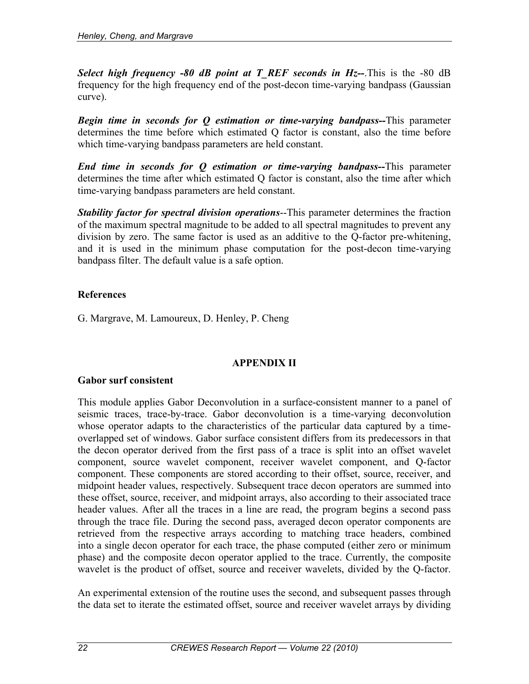*Select high frequency -80 dB point at T\_REF seconds in Hz--*.This is the -80 dB frequency for the high frequency end of the post-decon time-varying bandpass (Gaussian curve).

*Begin time in seconds for Q estimation or time-varying bandpass--*This parameter determines the time before which estimated Q factor is constant, also the time before which time-varying bandpass parameters are held constant.

*End time in seconds for Q estimation or time-varying bandpass--*This parameter determines the time after which estimated Q factor is constant, also the time after which time-varying bandpass parameters are held constant.

*Stability factor for spectral division operations*--This parameter determines the fraction of the maximum spectral magnitude to be added to all spectral magnitudes to prevent any division by zero. The same factor is used as an additive to the Q-factor pre-whitening, and it is used in the minimum phase computation for the post-decon time-varying bandpass filter. The default value is a safe option.

## **References**

G. Margrave, M. Lamoureux, D. Henley, P. Cheng

## **APPENDIX II**

## **Gabor surf consistent**

This module applies Gabor Deconvolution in a surface-consistent manner to a panel of seismic traces, trace-by-trace. Gabor deconvolution is a time-varying deconvolution whose operator adapts to the characteristics of the particular data captured by a timeoverlapped set of windows. Gabor surface consistent differs from its predecessors in that the decon operator derived from the first pass of a trace is split into an offset wavelet component, source wavelet component, receiver wavelet component, and Q-factor component. These components are stored according to their offset, source, receiver, and midpoint header values, respectively. Subsequent trace decon operators are summed into these offset, source, receiver, and midpoint arrays, also according to their associated trace header values. After all the traces in a line are read, the program begins a second pass through the trace file. During the second pass, averaged decon operator components are retrieved from the respective arrays according to matching trace headers, combined into a single decon operator for each trace, the phase computed (either zero or minimum phase) and the composite decon operator applied to the trace. Currently, the composite wavelet is the product of offset, source and receiver wavelets, divided by the Q-factor.

An experimental extension of the routine uses the second, and subsequent passes through the data set to iterate the estimated offset, source and receiver wavelet arrays by dividing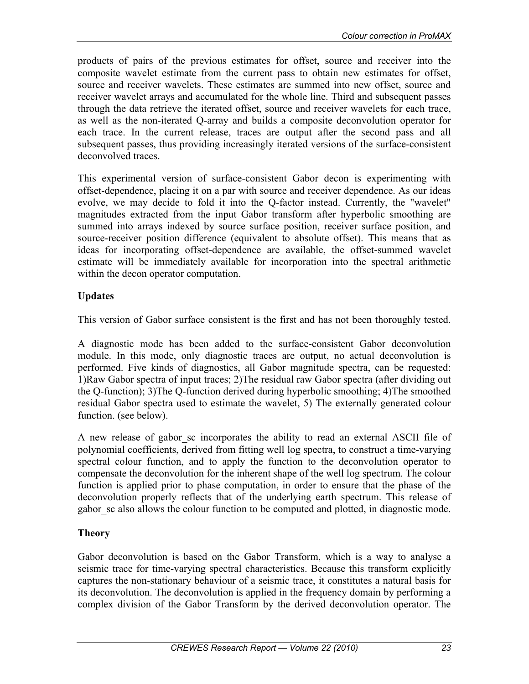products of pairs of the previous estimates for offset, source and receiver into the composite wavelet estimate from the current pass to obtain new estimates for offset, source and receiver wavelets. These estimates are summed into new offset, source and receiver wavelet arrays and accumulated for the whole line. Third and subsequent passes through the data retrieve the iterated offset, source and receiver wavelets for each trace, as well as the non-iterated Q-array and builds a composite deconvolution operator for each trace. In the current release, traces are output after the second pass and all subsequent passes, thus providing increasingly iterated versions of the surface-consistent deconvolved traces.

This experimental version of surface-consistent Gabor decon is experimenting with offset-dependence, placing it on a par with source and receiver dependence. As our ideas evolve, we may decide to fold it into the Q-factor instead. Currently, the "wavelet" magnitudes extracted from the input Gabor transform after hyperbolic smoothing are summed into arrays indexed by source surface position, receiver surface position, and source-receiver position difference (equivalent to absolute offset). This means that as ideas for incorporating offset-dependence are available, the offset-summed wavelet estimate will be immediately available for incorporation into the spectral arithmetic within the decon operator computation.

# **Updates**

This version of Gabor surface consistent is the first and has not been thoroughly tested.

A diagnostic mode has been added to the surface-consistent Gabor deconvolution module. In this mode, only diagnostic traces are output, no actual deconvolution is performed. Five kinds of diagnostics, all Gabor magnitude spectra, can be requested: 1)Raw Gabor spectra of input traces; 2)The residual raw Gabor spectra (after dividing out the Q-function); 3)The Q-function derived during hyperbolic smoothing; 4)The smoothed residual Gabor spectra used to estimate the wavelet, 5) The externally generated colour function. (see below).

A new release of gabor sc incorporates the ability to read an external ASCII file of polynomial coefficients, derived from fitting well log spectra, to construct a time-varying spectral colour function, and to apply the function to the deconvolution operator to compensate the deconvolution for the inherent shape of the well log spectrum. The colour function is applied prior to phase computation, in order to ensure that the phase of the deconvolution properly reflects that of the underlying earth spectrum. This release of gabor sc also allows the colour function to be computed and plotted, in diagnostic mode.

## **Theory**

Gabor deconvolution is based on the Gabor Transform, which is a way to analyse a seismic trace for time-varying spectral characteristics. Because this transform explicitly captures the non-stationary behaviour of a seismic trace, it constitutes a natural basis for its deconvolution. The deconvolution is applied in the frequency domain by performing a complex division of the Gabor Transform by the derived deconvolution operator. The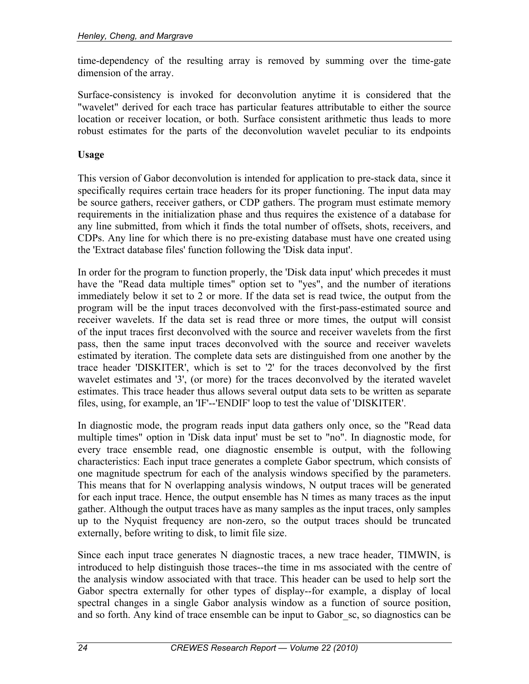time-dependency of the resulting array is removed by summing over the time-gate dimension of the array.

Surface-consistency is invoked for deconvolution anytime it is considered that the "wavelet" derived for each trace has particular features attributable to either the source location or receiver location, or both. Surface consistent arithmetic thus leads to more robust estimates for the parts of the deconvolution wavelet peculiar to its endpoints

## **Usage**

This version of Gabor deconvolution is intended for application to pre-stack data, since it specifically requires certain trace headers for its proper functioning. The input data may be source gathers, receiver gathers, or CDP gathers. The program must estimate memory requirements in the initialization phase and thus requires the existence of a database for any line submitted, from which it finds the total number of offsets, shots, receivers, and CDPs. Any line for which there is no pre-existing database must have one created using the 'Extract database files' function following the 'Disk data input'.

In order for the program to function properly, the 'Disk data input' which precedes it must have the "Read data multiple times" option set to "yes", and the number of iterations immediately below it set to 2 or more. If the data set is read twice, the output from the program will be the input traces deconvolved with the first-pass-estimated source and receiver wavelets. If the data set is read three or more times, the output will consist of the input traces first deconvolved with the source and receiver wavelets from the first pass, then the same input traces deconvolved with the source and receiver wavelets estimated by iteration. The complete data sets are distinguished from one another by the trace header 'DISKITER', which is set to '2' for the traces deconvolved by the first wavelet estimates and '3', (or more) for the traces deconvolved by the iterated wavelet estimates. This trace header thus allows several output data sets to be written as separate files, using, for example, an 'IF'--'ENDIF' loop to test the value of 'DISKITER'.

In diagnostic mode, the program reads input data gathers only once, so the "Read data multiple times" option in 'Disk data input' must be set to "no". In diagnostic mode, for every trace ensemble read, one diagnostic ensemble is output, with the following characteristics: Each input trace generates a complete Gabor spectrum, which consists of one magnitude spectrum for each of the analysis windows specified by the parameters. This means that for N overlapping analysis windows, N output traces will be generated for each input trace. Hence, the output ensemble has N times as many traces as the input gather. Although the output traces have as many samples as the input traces, only samples up to the Nyquist frequency are non-zero, so the output traces should be truncated externally, before writing to disk, to limit file size.

Since each input trace generates N diagnostic traces, a new trace header, TIMWIN, is introduced to help distinguish those traces--the time in ms associated with the centre of the analysis window associated with that trace. This header can be used to help sort the Gabor spectra externally for other types of display--for example, a display of local spectral changes in a single Gabor analysis window as a function of source position, and so forth. Any kind of trace ensemble can be input to Gabor\_sc, so diagnostics can be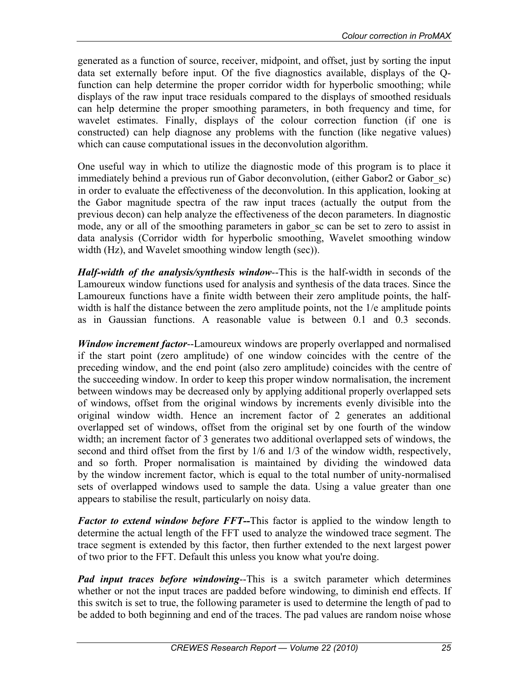generated as a function of source, receiver, midpoint, and offset, just by sorting the input data set externally before input. Of the five diagnostics available, displays of the Qfunction can help determine the proper corridor width for hyperbolic smoothing; while displays of the raw input trace residuals compared to the displays of smoothed residuals can help determine the proper smoothing parameters, in both frequency and time, for wavelet estimates. Finally, displays of the colour correction function (if one is constructed) can help diagnose any problems with the function (like negative values) which can cause computational issues in the deconvolution algorithm.

One useful way in which to utilize the diagnostic mode of this program is to place it immediately behind a previous run of Gabor deconvolution, (either Gabor2 or Gabor sc) in order to evaluate the effectiveness of the deconvolution. In this application, looking at the Gabor magnitude spectra of the raw input traces (actually the output from the previous decon) can help analyze the effectiveness of the decon parameters. In diagnostic mode, any or all of the smoothing parameters in gabor sc can be set to zero to assist in data analysis (Corridor width for hyperbolic smoothing, Wavelet smoothing window width (Hz), and Wavelet smoothing window length (sec)).

*Half-width of the analysis/synthesis window*--This is the half-width in seconds of the Lamoureux window functions used for analysis and synthesis of the data traces. Since the Lamoureux functions have a finite width between their zero amplitude points, the halfwidth is half the distance between the zero amplitude points, not the 1/e amplitude points as in Gaussian functions. A reasonable value is between 0.1 and 0.3 seconds.

*Window increment factor*--Lamoureux windows are properly overlapped and normalised if the start point (zero amplitude) of one window coincides with the centre of the preceding window, and the end point (also zero amplitude) coincides with the centre of the succeeding window. In order to keep this proper window normalisation, the increment between windows may be decreased only by applying additional properly overlapped sets of windows, offset from the original windows by increments evenly divisible into the original window width. Hence an increment factor of 2 generates an additional overlapped set of windows, offset from the original set by one fourth of the window width; an increment factor of 3 generates two additional overlapped sets of windows, the second and third offset from the first by 1/6 and 1/3 of the window width, respectively, and so forth. Proper normalisation is maintained by dividing the windowed data by the window increment factor, which is equal to the total number of unity-normalised sets of overlapped windows used to sample the data. Using a value greater than one appears to stabilise the result, particularly on noisy data.

*Factor to extend window before FFT--*This factor is applied to the window length to determine the actual length of the FFT used to analyze the windowed trace segment. The trace segment is extended by this factor, then further extended to the next largest power of two prior to the FFT. Default this unless you know what you're doing.

*Pad input traces before windowing*--This is a switch parameter which determines whether or not the input traces are padded before windowing, to diminish end effects. If this switch is set to true, the following parameter is used to determine the length of pad to be added to both beginning and end of the traces. The pad values are random noise whose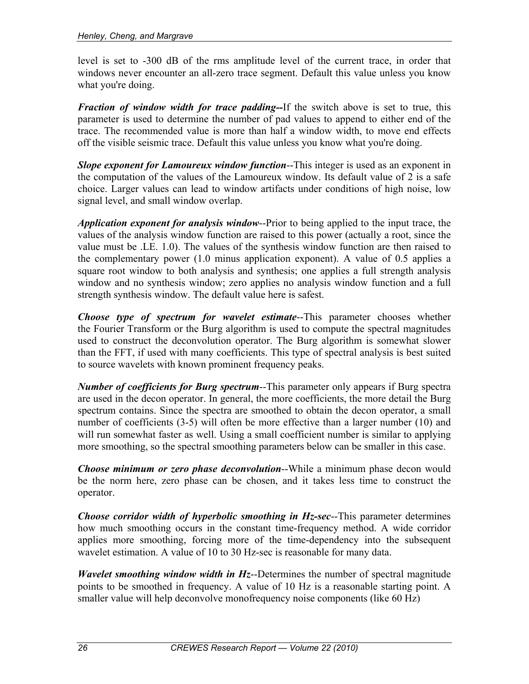level is set to -300 dB of the rms amplitude level of the current trace, in order that windows never encounter an all-zero trace segment. Default this value unless you know what you're doing.

*Fraction of window width for trace padding--*If the switch above is set to true, this parameter is used to determine the number of pad values to append to either end of the trace. The recommended value is more than half a window width, to move end effects off the visible seismic trace. Default this value unless you know what you're doing.

*Slope exponent for Lamoureux window function*--This integer is used as an exponent in the computation of the values of the Lamoureux window. Its default value of 2 is a safe choice. Larger values can lead to window artifacts under conditions of high noise, low signal level, and small window overlap.

*Application exponent for analysis window*--Prior to being applied to the input trace, the values of the analysis window function are raised to this power (actually a root, since the value must be .LE. 1.0). The values of the synthesis window function are then raised to the complementary power (1.0 minus application exponent). A value of 0.5 applies a square root window to both analysis and synthesis; one applies a full strength analysis window and no synthesis window; zero applies no analysis window function and a full strength synthesis window. The default value here is safest.

*Choose type of spectrum for wavelet estimate*--This parameter chooses whether the Fourier Transform or the Burg algorithm is used to compute the spectral magnitudes used to construct the deconvolution operator. The Burg algorithm is somewhat slower than the FFT, if used with many coefficients. This type of spectral analysis is best suited to source wavelets with known prominent frequency peaks.

*Number of coefficients for Burg spectrum*--This parameter only appears if Burg spectra are used in the decon operator. In general, the more coefficients, the more detail the Burg spectrum contains. Since the spectra are smoothed to obtain the decon operator, a small number of coefficients (3-5) will often be more effective than a larger number (10) and will run somewhat faster as well. Using a small coefficient number is similar to applying more smoothing, so the spectral smoothing parameters below can be smaller in this case.

*Choose minimum or zero phase deconvolution*--While a minimum phase decon would be the norm here, zero phase can be chosen, and it takes less time to construct the operator.

*Choose corridor width of hyperbolic smoothing in Hz-sec*--This parameter determines how much smoothing occurs in the constant time-frequency method. A wide corridor applies more smoothing, forcing more of the time-dependency into the subsequent wavelet estimation. A value of 10 to 30 Hz-sec is reasonable for many data.

*Wavelet smoothing window width in Hz*--Determines the number of spectral magnitude points to be smoothed in frequency. A value of 10 Hz is a reasonable starting point. A smaller value will help deconvolve monofrequency noise components (like 60 Hz)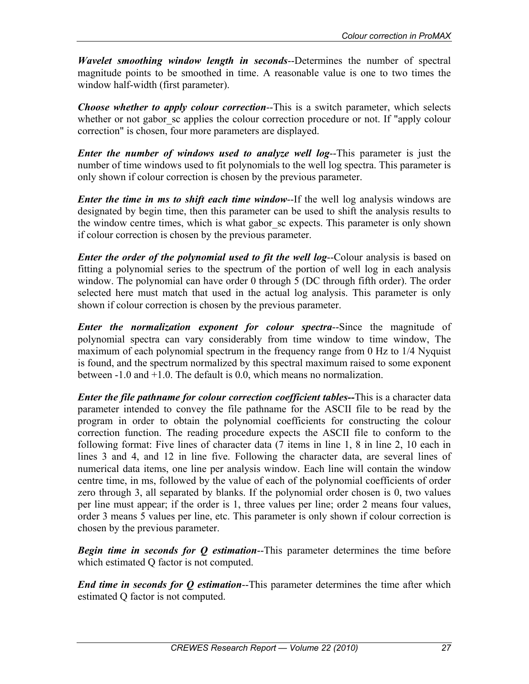*Wavelet smoothing window length in seconds*--Determines the number of spectral magnitude points to be smoothed in time. A reasonable value is one to two times the window half-width (first parameter).

*Choose whether to apply colour correction*--This is a switch parameter, which selects whether or not gabor sc applies the colour correction procedure or not. If "apply colour correction" is chosen, four more parameters are displayed.

*Enter the number of windows used to analyze well log*--This parameter is just the number of time windows used to fit polynomials to the well log spectra. This parameter is only shown if colour correction is chosen by the previous parameter.

*Enter the time in ms to shift each time window*--If the well log analysis windows are designated by begin time, then this parameter can be used to shift the analysis results to the window centre times, which is what gabor\_sc expects. This parameter is only shown if colour correction is chosen by the previous parameter.

*Enter the order of the polynomial used to fit the well log--Colour analysis is based on* fitting a polynomial series to the spectrum of the portion of well log in each analysis window. The polynomial can have order 0 through 5 (DC through fifth order). The order selected here must match that used in the actual log analysis. This parameter is only shown if colour correction is chosen by the previous parameter.

*Enter the normalization exponent for colour spectra*--Since the magnitude of polynomial spectra can vary considerably from time window to time window, The maximum of each polynomial spectrum in the frequency range from 0 Hz to 1/4 Nyquist is found, and the spectrum normalized by this spectral maximum raised to some exponent between -1.0 and +1.0. The default is 0.0, which means no normalization.

*Enter the file pathname for colour correction coefficient tables--*This is a character data parameter intended to convey the file pathname for the ASCII file to be read by the program in order to obtain the polynomial coefficients for constructing the colour correction function. The reading procedure expects the ASCII file to conform to the following format: Five lines of character data (7 items in line 1, 8 in line 2, 10 each in lines 3 and 4, and 12 in line five. Following the character data, are several lines of numerical data items, one line per analysis window. Each line will contain the window centre time, in ms, followed by the value of each of the polynomial coefficients of order zero through 3, all separated by blanks. If the polynomial order chosen is 0, two values per line must appear; if the order is 1, three values per line; order 2 means four values, order 3 means 5 values per line, etc. This parameter is only shown if colour correction is chosen by the previous parameter.

*Begin time in seconds for Q estimation*--This parameter determines the time before which estimated Q factor is not computed.

*End time in seconds for Q estimation*--This parameter determines the time after which estimated Q factor is not computed.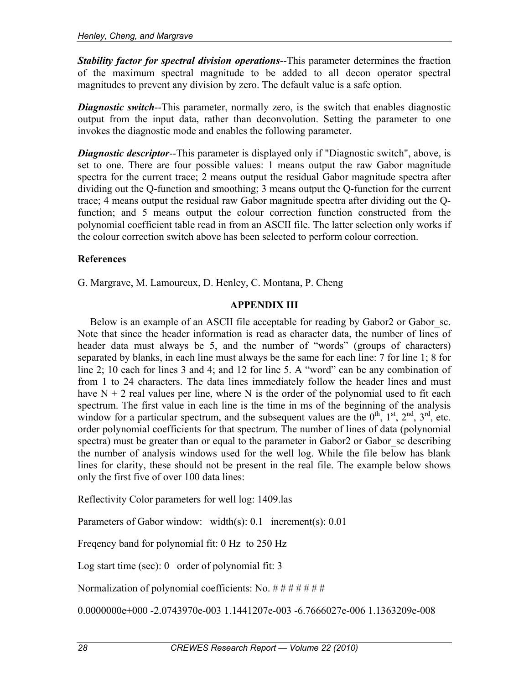*Stability factor for spectral division operations*--This parameter determines the fraction of the maximum spectral magnitude to be added to all decon operator spectral magnitudes to prevent any division by zero. The default value is a safe option.

*Diagnostic switch*--This parameter, normally zero, is the switch that enables diagnostic output from the input data, rather than deconvolution. Setting the parameter to one invokes the diagnostic mode and enables the following parameter.

*Diagnostic descriptor*--This parameter is displayed only if "Diagnostic switch", above, is set to one. There are four possible values: 1 means output the raw Gabor magnitude spectra for the current trace; 2 means output the residual Gabor magnitude spectra after dividing out the Q-function and smoothing; 3 means output the Q-function for the current trace; 4 means output the residual raw Gabor magnitude spectra after dividing out the Qfunction; and 5 means output the colour correction function constructed from the polynomial coefficient table read in from an ASCII file. The latter selection only works if the colour correction switch above has been selected to perform colour correction.

## **References**

G. Margrave, M. Lamoureux, D. Henley, C. Montana, P. Cheng

## **APPENDIX III**

Below is an example of an ASCII file acceptable for reading by Gabor<sub>2</sub> or Gabor sc. Note that since the header information is read as character data, the number of lines of header data must always be 5, and the number of "words" (groups of characters) separated by blanks, in each line must always be the same for each line: 7 for line 1; 8 for line 2; 10 each for lines 3 and 4; and 12 for line 5. A "word" can be any combination of from 1 to 24 characters. The data lines immediately follow the header lines and must have  $N + 2$  real values per line, where N is the order of the polynomial used to fit each spectrum. The first value in each line is the time in ms of the beginning of the analysis window for a particular spectrum, and the subsequent values are the  $0^{\text{th}}$ ,  $1^{\text{st}}$ ,  $2^{\text{nd}}$ ,  $3^{\text{rd}}$ , etc. order polynomial coefficients for that spectrum. The number of lines of data (polynomial spectra) must be greater than or equal to the parameter in Gabor<sub>2</sub> or Gabor sc describing the number of analysis windows used for the well log. While the file below has blank lines for clarity, these should not be present in the real file. The example below shows only the first five of over 100 data lines:

Reflectivity Color parameters for well log: 1409.las

Parameters of Gabor window: width(s): 0.1 increment(s): 0.01

Freqency band for polynomial fit: 0 Hz to 250 Hz

Log start time (sec): 0 order of polynomial fit: 3

Normalization of polynomial coefficients: No.  $\# \# \# \# \# \#$ 

0.0000000e+000 -2.0743970e-003 1.1441207e-003 -6.7666027e-006 1.1363209e-008